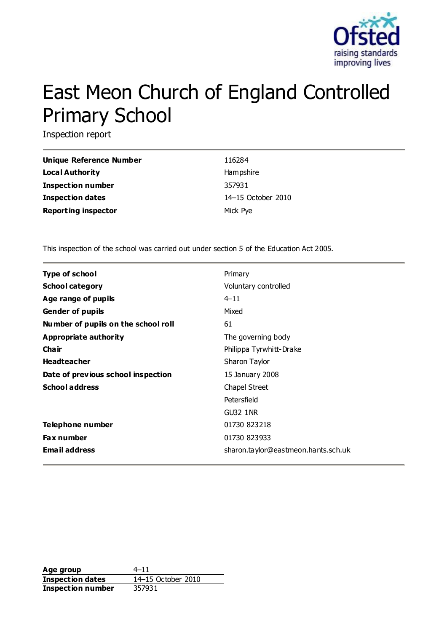

# East Meon Church of England Controlled Primary School

Inspection report

| Unique Reference Number    | 116284             |
|----------------------------|--------------------|
| Local Authority            | Hampshire          |
| <b>Inspection number</b>   | 357931             |
| <b>Inspection dates</b>    | 14-15 October 2010 |
| <b>Reporting inspector</b> | Mick Pye           |

This inspection of the school was carried out under section 5 of the Education Act 2005.

| <b>Type of school</b>               | Primary                             |
|-------------------------------------|-------------------------------------|
| <b>School category</b>              | Voluntary controlled                |
| Age range of pupils                 | $4 - 11$                            |
| <b>Gender of pupils</b>             | Mixed                               |
| Number of pupils on the school roll | 61                                  |
| Appropriate authority               | The governing body                  |
| Cha ir                              | Philippa Tyrwhitt-Drake             |
| <b>Headteacher</b>                  | Sharon Taylor                       |
| Date of previous school inspection  | 15 January 2008                     |
| <b>School address</b>               | Chapel Street                       |
|                                     | Petersfield                         |
|                                     | <b>GU32 1NR</b>                     |
| <b>Telephone number</b>             | 01730 823218                        |
| <b>Fax number</b>                   | 01730 823933                        |
| <b>Email address</b>                | sharon.taylor@eastmeon.hants.sch.uk |

Age group  $4-11$ **Inspection dates** 14–15 October 2010 **Inspection number** 357931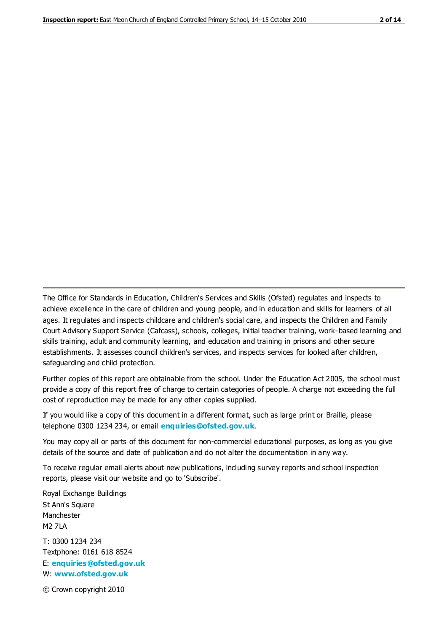The Office for Standards in Education, Children's Services and Skills (Ofsted) regulates and inspects to achieve excellence in the care of children and young people, and in education and skills for learners of all ages. It regulates and inspects childcare and children's social care, and inspects the Children and Family Court Advisory Support Service (Cafcass), schools, colleges, initial teacher training, work-based learning and skills training, adult and community learning, and education and training in prisons and other secure establishments. It assesses council children's services, and inspects services for looked after children, safeguarding and child protection.

Further copies of this report are obtainable from the school. Under the Education Act 2005, the school must provide a copy of this report free of charge to certain categories of people. A charge not exceeding the full cost of reproduction may be made for any other copies supplied.

If you would like a copy of this document in a different format, such as large print or Braille, please telephone 0300 1234 234, or email **[enquiries@ofsted.gov.uk](mailto:enquiries@ofsted.gov.uk)**.

You may copy all or parts of this document for non-commercial educational purposes, as long as you give details of the source and date of publication and do not alter the documentation in any way.

To receive regular email alerts about new publications, including survey reports and school inspection reports, please visit our website and go to 'Subscribe'.

Royal Exchange Buildings St Ann's Square Manchester M2 7LA T: 0300 1234 234 Textphone: 0161 618 8524 E: **[enquiries@ofsted.gov.uk](mailto:enquiries@ofsted.gov.uk)**

W: **[www.ofsted.gov.uk](http://www.ofsted.gov.uk/)**

© Crown copyright 2010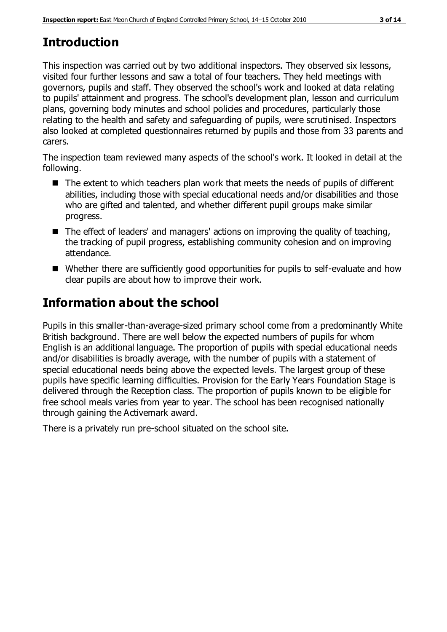# **Introduction**

This inspection was carried out by two additional inspectors. They observed six lessons, visited four further lessons and saw a total of four teachers. They held meetings with governors, pupils and staff. They observed the school's work and looked at data relating to pupils' attainment and progress. The school's development plan, lesson and curriculum plans, governing body minutes and school policies and procedures, particularly those relating to the health and safety and safeguarding of pupils, were scrutinised. Inspectors also looked at completed questionnaires returned by pupils and those from 33 parents and carers.

The inspection team reviewed many aspects of the school's work. It looked in detail at the following.

- The extent to which teachers plan work that meets the needs of pupils of different abilities, including those with special educational needs and/or disabilities and those who are gifted and talented, and whether different pupil groups make similar progress.
- The effect of leaders' and managers' actions on improving the quality of teaching, the tracking of pupil progress, establishing community cohesion and on improving attendance.
- Whether there are sufficiently good opportunities for pupils to self-evaluate and how clear pupils are about how to improve their work.

## **Information about the school**

Pupils in this smaller-than-average-sized primary school come from a predominantly White British background. There are well below the expected numbers of pupils for whom English is an additional language. The proportion of pupils with special educational needs and/or disabilities is broadly average, with the number of pupils with a statement of special educational needs being above the expected levels. The largest group of these pupils have specific learning difficulties. Provision for the Early Years Foundation Stage is delivered through the Reception class. The proportion of pupils known to be eligible for free school meals varies from year to year. The school has been recognised nationally through gaining the Activemark award.

There is a privately run pre-school situated on the school site.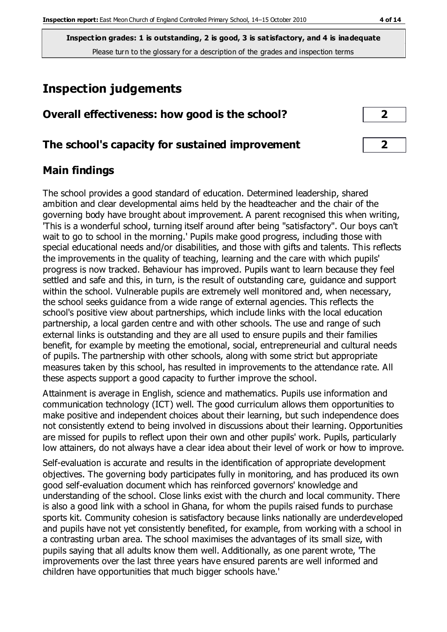## **Inspection judgements**

## **Overall effectiveness: how good is the school? 2**

## **The school's capacity for sustained improvement 2**

## **Main findings**

The school provides a good standard of education. Determined leadership, shared ambition and clear developmental aims held by the headteacher and the chair of the governing body have brought about improvement. A parent recognised this when writing, 'This is a wonderful school, turning itself around after being "satisfactory". Our boys can't wait to go to school in the morning.' Pupils make good progress, including those with special educational needs and/or disabilities, and those with gifts and talents. This reflects the improvements in the quality of teaching, learning and the care with which pupils' progress is now tracked. Behaviour has improved. Pupils want to learn because they feel settled and safe and this, in turn, is the result of outstanding care, guidance and support within the school. Vulnerable pupils are extremely well monitored and, when necessary, the school seeks guidance from a wide range of external agencies. This reflects the school's positive view about partnerships, which include links with the local education partnership, a local garden centre and with other schools. The use and range of such external links is outstanding and they are all used to ensure pupils and their families benefit, for example by meeting the emotional, social, entrepreneurial and cultural needs of pupils. The partnership with other schools, along with some strict but appropriate measures taken by this school, has resulted in improvements to the attendance rate. All these aspects support a good capacity to further improve the school.

Attainment is average in English, science and mathematics. Pupils use information and communication technology (ICT) well. The good curriculum allows them opportunities to make positive and independent choices about their learning, but such independence does not consistently extend to being involved in discussions about their learning. Opportunities are missed for pupils to reflect upon their own and other pupils' work. Pupils, particularly low attainers, do not always have a clear idea about their level of work or how to improve.

Self-evaluation is accurate and results in the identification of appropriate development objectives. The governing body participates fully in monitoring, and has produced its own good self-evaluation document which has reinforced governors' knowledge and understanding of the school. Close links exist with the church and local community. There is also a good link with a school in Ghana, for whom the pupils raised funds to purchase sports kit. Community cohesion is satisfactory because links nationally are underdeveloped and pupils have not yet consistently benefited, for example, from working with a school in a contrasting urban area. The school maximises the advantages of its small size, with pupils saying that all adults know them well. Additionally, as one parent wrote, 'The improvements over the last three years have ensured parents are well informed and children have opportunities that much bigger schools have.'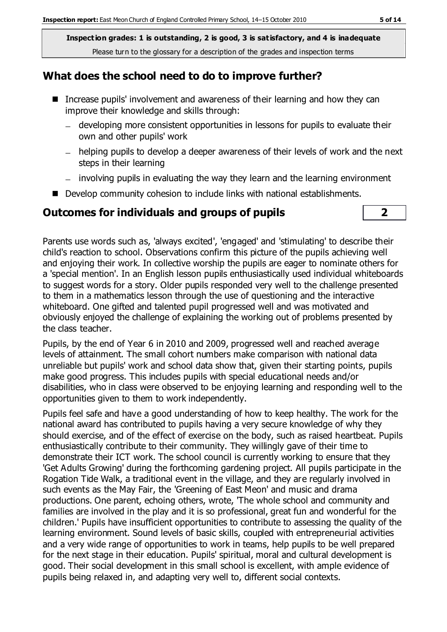## **What does the school need to do to improve further?**

- Increase pupils' involvement and awareness of their learning and how they can improve their knowledge and skills through:
	- developing more consistent opportunities in lessons for pupils to evaluate their own and other pupils' work
	- helping pupils to develop a deeper awareness of their levels of work and the next steps in their learning
	- involving pupils in evaluating the way they learn and the learning environment
- Develop community cohesion to include links with national establishments.

## **Outcomes for individuals and groups of pupils 2**



Parents use words such as, 'always excited', 'engaged' and 'stimulating' to describe their child's reaction to school. Observations confirm this picture of the pupils achieving well and enjoying their work. In collective worship the pupils are eager to nominate others for a 'special mention'. In an English lesson pupils enthusiastically used individual whiteboards to suggest words for a story. Older pupils responded very well to the challenge presented to them in a mathematics lesson through the use of questioning and the interactive whiteboard. One gifted and talented pupil progressed well and was motivated and obviously enjoyed the challenge of explaining the working out of problems presented by the class teacher.

Pupils, by the end of Year 6 in 2010 and 2009, progressed well and reached average levels of attainment. The small cohort numbers make comparison with national data unreliable but pupils' work and school data show that, given their starting points, pupils make good progress. This includes pupils with special educational needs and/or disabilities, who in class were observed to be enjoying learning and responding well to the opportunities given to them to work independently.

Pupils feel safe and have a good understanding of how to keep healthy. The work for the national award has contributed to pupils having a very secure knowledge of why they should exercise, and of the effect of exercise on the body, such as raised heartbeat. Pupils enthusiastically contribute to their community. They willingly gave of their time to demonstrate their ICT work. The school council is currently working to ensure that they 'Get Adults Growing' during the forthcoming gardening project. All pupils participate in the Rogation Tide Walk, a traditional event in the village, and they are regularly involved in such events as the May Fair, the 'Greening of East Meon' and music and drama productions. One parent, echoing others, wrote, 'The whole school and community and families are involved in the play and it is so professional, great fun and wonderful for the children.' Pupils have insufficient opportunities to contribute to assessing the quality of the learning environment. Sound levels of basic skills, coupled with entrepreneurial activities and a very wide range of opportunities to work in teams, help pupils to be well prepared for the next stage in their education. Pupils' spiritual, moral and cultural development is good. Their social development in this small school is excellent, with ample evidence of pupils being relaxed in, and adapting very well to, different social contexts.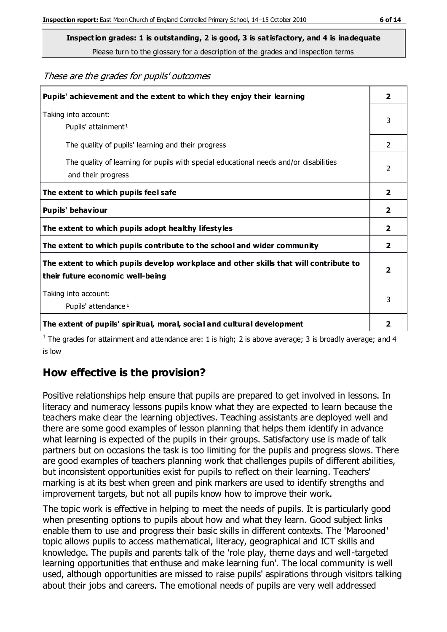**Inspection grades: 1 is outstanding, 2 is good, 3 is satisfactory, and 4 is inadequate**

Please turn to the glossary for a description of the grades and inspection terms

These are the grades for pupils' outcomes

| Pupils' achievement and the extent to which they enjoy their learning                                                     |               |
|---------------------------------------------------------------------------------------------------------------------------|---------------|
| Taking into account:<br>Pupils' attainment <sup>1</sup>                                                                   |               |
| The quality of pupils' learning and their progress                                                                        | $\mathcal{P}$ |
| The quality of learning for pupils with special educational needs and/or disabilities<br>and their progress               |               |
| The extent to which pupils feel safe                                                                                      |               |
| Pupils' behaviour                                                                                                         |               |
| The extent to which pupils adopt healthy lifestyles                                                                       |               |
| The extent to which pupils contribute to the school and wider community                                                   |               |
| The extent to which pupils develop workplace and other skills that will contribute to<br>their future economic well-being |               |
| Taking into account:<br>Pupils' attendance <sup>1</sup>                                                                   |               |
| The extent of pupils' spiritual, moral, social and cultural development                                                   | 2             |

<sup>1</sup> The grades for attainment and attendance are: 1 is high; 2 is above average; 3 is broadly average; and 4 is low

## **How effective is the provision?**

Positive relationships help ensure that pupils are prepared to get involved in lessons. In literacy and numeracy lessons pupils know what they are expected to learn because the teachers make clear the learning objectives. Teaching assistants are deployed well and there are some good examples of lesson planning that helps them identify in advance what learning is expected of the pupils in their groups. Satisfactory use is made of talk partners but on occasions the task is too limiting for the pupils and progress slows. There are good examples of teachers planning work that challenges pupils of different abilities, but inconsistent opportunities exist for pupils to reflect on their learning. Teachers' marking is at its best when green and pink markers are used to identify strengths and improvement targets, but not all pupils know how to improve their work.

The topic work is effective in helping to meet the needs of pupils. It is particularly good when presenting options to pupils about how and what they learn. Good subject links enable them to use and progress their basic skills in different contexts. The 'Marooned' topic allows pupils to access mathematical, literacy, geographical and ICT skills and knowledge. The pupils and parents talk of the 'role play, theme days and well-targeted learning opportunities that enthuse and make learning fun'. The local community is well used, although opportunities are missed to raise pupils' aspirations through visitors talking about their jobs and careers. The emotional needs of pupils are very well addressed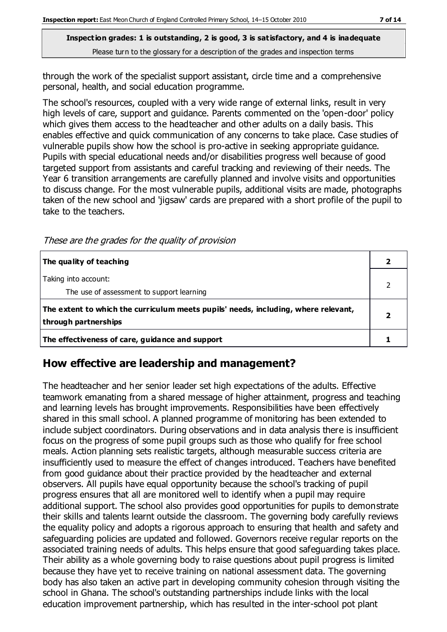through the work of the specialist support assistant, circle time and a comprehensive personal, health, and social education programme.

The school's resources, coupled with a very wide range of external links, result in very high levels of care, support and guidance. Parents commented on the 'open-door' policy which gives them access to the headteacher and other adults on a daily basis. This enables effective and quick communication of any concerns to take place. Case studies of vulnerable pupils show how the school is pro-active in seeking appropriate guidance. Pupils with special educational needs and/or disabilities progress well because of good targeted support from assistants and careful tracking and reviewing of their needs. The Year 6 transition arrangements are carefully planned and involve visits and opportunities to discuss change. For the most vulnerable pupils, additional visits are made, photographs taken of the new school and 'jigsaw' cards are prepared with a short profile of the pupil to take to the teachers.

These are the grades for the quality of provision

| The quality of teaching                                                                                    |  |
|------------------------------------------------------------------------------------------------------------|--|
| Taking into account:<br>The use of assessment to support learning                                          |  |
| The extent to which the curriculum meets pupils' needs, including, where relevant,<br>through partnerships |  |
| The effectiveness of care, guidance and support                                                            |  |

#### **How effective are leadership and management?**

The headteacher and her senior leader set high expectations of the adults. Effective teamwork emanating from a shared message of higher attainment, progress and teaching and learning levels has brought improvements. Responsibilities have been effectively shared in this small school. A planned programme of monitoring has been extended to include subject coordinators. During observations and in data analysis there is insufficient focus on the progress of some pupil groups such as those who qualify for free school meals. Action planning sets realistic targets, although measurable success criteria are insufficiently used to measure the effect of changes introduced. Teachers have benefited from good guidance about their practice provided by the headteacher and external observers. All pupils have equal opportunity because the school's tracking of pupil progress ensures that all are monitored well to identify when a pupil may require additional support. The school also provides good opportunities for pupils to demonstrate their skills and talents learnt outside the classroom. The governing body carefully reviews the equality policy and adopts a rigorous approach to ensuring that health and safety and safeguarding policies are updated and followed. Governors receive regular reports on the associated training needs of adults. This helps ensure that good safeguarding takes place. Their ability as a whole governing body to raise questions about pupil progress is limited because they have yet to receive training on national assessment data. The governing body has also taken an active part in developing community cohesion through visiting the school in Ghana. The school's outstanding partnerships include links with the local education improvement partnership, which has resulted in the inter-school pot plant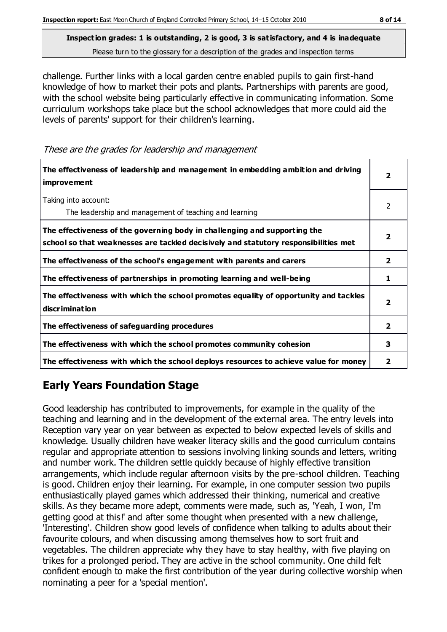challenge. Further links with a local garden centre enabled pupils to gain first-hand knowledge of how to market their pots and plants. Partnerships with parents are good, with the school website being particularly effective in communicating information. Some curriculum workshops take place but the school acknowledges that more could aid the levels of parents' support for their children's learning.

These are the grades for leadership and management

| The effectiveness of leadership and management in embedding ambition and driving<br>improvement                                                                  |   |
|------------------------------------------------------------------------------------------------------------------------------------------------------------------|---|
| Taking into account:<br>The leadership and management of teaching and learning                                                                                   | 2 |
| The effectiveness of the governing body in challenging and supporting the<br>school so that weaknesses are tackled decisively and statutory responsibilities met | 2 |
| The effectiveness of the school's engagement with parents and carers                                                                                             | 2 |
| The effectiveness of partnerships in promoting learning and well-being                                                                                           | 1 |
| The effectiveness with which the school promotes equality of opportunity and tackles<br>discrimination                                                           | 2 |
| The effectiveness of safeguarding procedures                                                                                                                     |   |
| The effectiveness with which the school promotes community cohesion                                                                                              |   |
| The effectiveness with which the school deploys resources to achieve value for money                                                                             |   |

## **Early Years Foundation Stage**

Good leadership has contributed to improvements, for example in the quality of the teaching and learning and in the development of the external area. The entry levels into Reception vary year on year between as expected to below expected levels of skills and knowledge. Usually children have weaker literacy skills and the good curriculum contains regular and appropriate attention to sessions involving linking sounds and letters, writing and number work. The children settle quickly because of highly effective transition arrangements, which include regular afternoon visits by the pre-school children. Teaching is good. Children enjoy their learning. For example, in one computer session two pupils enthusiastically played games which addressed their thinking, numerical and creative skills. As they became more adept, comments were made, such as, 'Yeah, I won, I'm getting good at this!' and after some thought when presented with a new challenge, 'Interesting'. Children show good levels of confidence when talking to adults about their favourite colours, and when discussing among themselves how to sort fruit and vegetables. The children appreciate why they have to stay healthy, with five playing on trikes for a prolonged period. They are active in the school community. One child felt confident enough to make the first contribution of the year during collective worship when nominating a peer for a 'special mention'.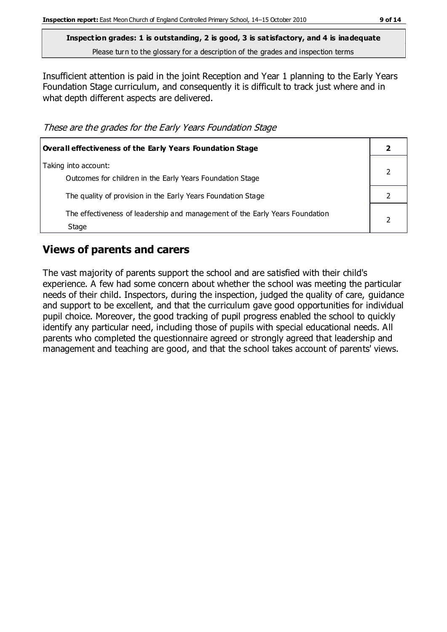Insufficient attention is paid in the joint Reception and Year 1 planning to the Early Years Foundation Stage curriculum, and consequently it is difficult to track just where and in what depth different aspects are delivered.

These are the grades for the Early Years Foundation Stage

| <b>Overall effectiveness of the Early Years Foundation Stage</b>                      |  |
|---------------------------------------------------------------------------------------|--|
| Taking into account:<br>Outcomes for children in the Early Years Foundation Stage     |  |
| The quality of provision in the Early Years Foundation Stage                          |  |
| The effectiveness of leadership and management of the Early Years Foundation<br>Stage |  |

## **Views of parents and carers**

The vast majority of parents support the school and are satisfied with their child's experience. A few had some concern about whether the school was meeting the particular needs of their child. Inspectors, during the inspection, judged the quality of care, guidance and support to be excellent, and that the curriculum gave good opportunities for individual pupil choice. Moreover, the good tracking of pupil progress enabled the school to quickly identify any particular need, including those of pupils with special educational needs. All parents who completed the questionnaire agreed or strongly agreed that leadership and management and teaching are good, and that the school takes account of parents' views.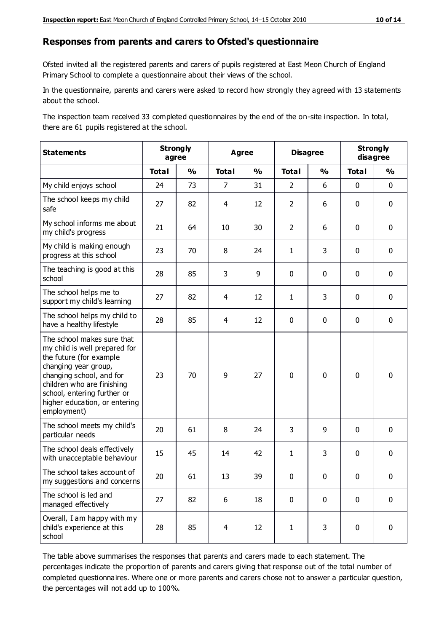#### **Responses from parents and carers to Ofsted's questionnaire**

Ofsted invited all the registered parents and carers of pupils registered at East Meon Church of England Primary School to complete a questionnaire about their views of the school.

In the questionnaire, parents and carers were asked to record how strongly they agreed with 13 statements about the school.

The inspection team received 33 completed questionnaires by the end of the on-site inspection. In total, there are 61 pupils registered at the school.

| <b>Statements</b>                                                                                                                                                                                                                                       | <b>Strongly</b><br>agree |               | Agree          |               | <b>Disagree</b> |               | <b>Strongly</b><br>disagree |               |
|---------------------------------------------------------------------------------------------------------------------------------------------------------------------------------------------------------------------------------------------------------|--------------------------|---------------|----------------|---------------|-----------------|---------------|-----------------------------|---------------|
|                                                                                                                                                                                                                                                         | <b>Total</b>             | $\frac{1}{2}$ | <b>Total</b>   | $\frac{1}{2}$ | <b>Total</b>    | $\frac{0}{0}$ | <b>Total</b>                | $\frac{0}{0}$ |
| My child enjoys school                                                                                                                                                                                                                                  | 24                       | 73            | $\overline{7}$ | 31            | $\overline{2}$  | 6             | $\mathbf 0$                 | $\mathbf 0$   |
| The school keeps my child<br>safe                                                                                                                                                                                                                       | 27                       | 82            | 4              | 12            | $\overline{2}$  | 6             | $\mathbf 0$                 | $\mathbf 0$   |
| My school informs me about<br>my child's progress                                                                                                                                                                                                       | 21                       | 64            | 10             | 30            | $\overline{2}$  | 6             | $\mathbf 0$                 | $\mathbf 0$   |
| My child is making enough<br>progress at this school                                                                                                                                                                                                    | 23                       | 70            | 8              | 24            | $\mathbf{1}$    | 3             | $\mathbf 0$                 | $\mathbf 0$   |
| The teaching is good at this<br>school                                                                                                                                                                                                                  | 28                       | 85            | 3              | 9             | 0               | $\mathbf 0$   | 0                           | $\mathbf 0$   |
| The school helps me to<br>support my child's learning                                                                                                                                                                                                   | 27                       | 82            | 4              | 12            | $\mathbf{1}$    | 3             | $\mathbf 0$                 | $\mathbf 0$   |
| The school helps my child to<br>have a healthy lifestyle                                                                                                                                                                                                | 28                       | 85            | 4              | 12            | 0               | $\mathbf 0$   | $\mathbf 0$                 | $\mathbf 0$   |
| The school makes sure that<br>my child is well prepared for<br>the future (for example<br>changing year group,<br>changing school, and for<br>children who are finishing<br>school, entering further or<br>higher education, or entering<br>employment) | 23                       | 70            | 9              | 27            | $\mathbf 0$     | $\mathbf 0$   | $\mathbf 0$                 | $\mathbf 0$   |
| The school meets my child's<br>particular needs                                                                                                                                                                                                         | 20                       | 61            | 8              | 24            | 3               | 9             | $\mathbf 0$                 | $\mathbf 0$   |
| The school deals effectively<br>with unacceptable behaviour                                                                                                                                                                                             | 15                       | 45            | 14             | 42            | $\mathbf{1}$    | 3             | $\mathbf 0$                 | $\mathbf 0$   |
| The school takes account of<br>my suggestions and concerns                                                                                                                                                                                              | 20                       | 61            | 13             | 39            | $\mathbf{0}$    | $\mathbf{0}$  | $\mathbf 0$                 | $\mathbf{0}$  |
| The school is led and<br>managed effectively                                                                                                                                                                                                            | 27                       | 82            | 6              | 18            | $\pmb{0}$       | $\mathbf 0$   | $\mathbf 0$                 | $\mathbf 0$   |
| Overall, I am happy with my<br>child's experience at this<br>school                                                                                                                                                                                     | 28                       | 85            | $\overline{4}$ | 12            | $\mathbf{1}$    | 3             | $\mathbf 0$                 | $\pmb{0}$     |

The table above summarises the responses that parents and carers made to each statement. The percentages indicate the proportion of parents and carers giving that response out of the total number of completed questionnaires. Where one or more parents and carers chose not to answer a particular question, the percentages will not add up to 100%.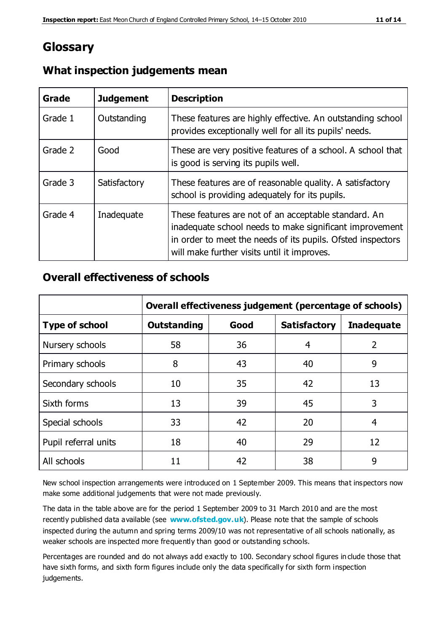## **Glossary**

| Grade   | <b>Judgement</b> | <b>Description</b>                                                                                                                                                                                                            |
|---------|------------------|-------------------------------------------------------------------------------------------------------------------------------------------------------------------------------------------------------------------------------|
| Grade 1 | Outstanding      | These features are highly effective. An outstanding school<br>provides exceptionally well for all its pupils' needs.                                                                                                          |
| Grade 2 | Good             | These are very positive features of a school. A school that<br>is good is serving its pupils well.                                                                                                                            |
| Grade 3 | Satisfactory     | These features are of reasonable quality. A satisfactory<br>school is providing adequately for its pupils.                                                                                                                    |
| Grade 4 | Inadequate       | These features are not of an acceptable standard. An<br>inadequate school needs to make significant improvement<br>in order to meet the needs of its pupils. Ofsted inspectors<br>will make further visits until it improves. |

## **What inspection judgements mean**

## **Overall effectiveness of schools**

|                       | Overall effectiveness judgement (percentage of schools) |      |                     |                   |
|-----------------------|---------------------------------------------------------|------|---------------------|-------------------|
| <b>Type of school</b> | <b>Outstanding</b>                                      | Good | <b>Satisfactory</b> | <b>Inadequate</b> |
| Nursery schools       | 58                                                      | 36   | 4                   | 2                 |
| Primary schools       | 8                                                       | 43   | 40                  | 9                 |
| Secondary schools     | 10                                                      | 35   | 42                  | 13                |
| Sixth forms           | 13                                                      | 39   | 45                  | 3                 |
| Special schools       | 33                                                      | 42   | 20                  | 4                 |
| Pupil referral units  | 18                                                      | 40   | 29                  | 12                |
| All schools           | 11                                                      | 42   | 38                  | 9                 |

New school inspection arrangements were introduced on 1 September 2009. This means that inspectors now make some additional judgements that were not made previously.

The data in the table above are for the period 1 September 2009 to 31 March 2010 and are the most recently published data available (see **[www.ofsted.gov.uk](http://www.ofsted.gov.uk/)**). Please note that the sample of schools inspected during the autumn and spring terms 2009/10 was not representative of all schools nationally, as weaker schools are inspected more frequently than good or outstanding schools.

Percentages are rounded and do not always add exactly to 100. Secondary school figures in clude those that have sixth forms, and sixth form figures include only the data specifically for sixth form inspection judgements.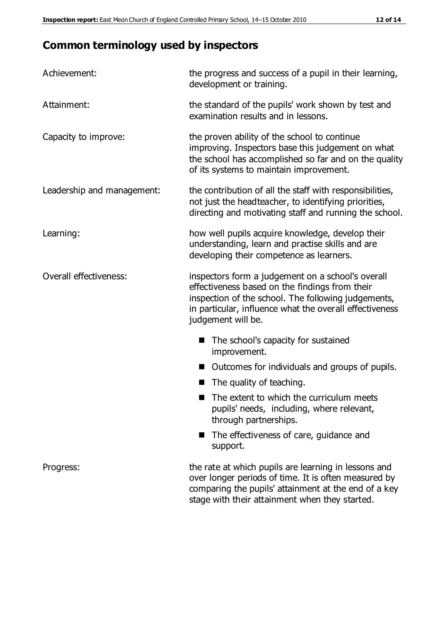## **Common terminology used by inspectors**

| Achievement:               | the progress and success of a pupil in their learning,<br>development or training.                                                                                                                                                          |  |  |
|----------------------------|---------------------------------------------------------------------------------------------------------------------------------------------------------------------------------------------------------------------------------------------|--|--|
| Attainment:                | the standard of the pupils' work shown by test and<br>examination results and in lessons.                                                                                                                                                   |  |  |
| Capacity to improve:       | the proven ability of the school to continue<br>improving. Inspectors base this judgement on what<br>the school has accomplished so far and on the quality<br>of its systems to maintain improvement.                                       |  |  |
| Leadership and management: | the contribution of all the staff with responsibilities,<br>not just the headteacher, to identifying priorities,<br>directing and motivating staff and running the school.                                                                  |  |  |
| Learning:                  | how well pupils acquire knowledge, develop their<br>understanding, learn and practise skills and are<br>developing their competence as learners.                                                                                            |  |  |
| Overall effectiveness:     | inspectors form a judgement on a school's overall<br>effectiveness based on the findings from their<br>inspection of the school. The following judgements,<br>in particular, influence what the overall effectiveness<br>judgement will be. |  |  |
|                            | The school's capacity for sustained<br>improvement.                                                                                                                                                                                         |  |  |
|                            | Outcomes for individuals and groups of pupils.                                                                                                                                                                                              |  |  |
|                            | The quality of teaching.                                                                                                                                                                                                                    |  |  |
|                            | The extent to which the curriculum meets<br>pupils' needs, including, where relevant,<br>through partnerships.                                                                                                                              |  |  |
|                            | The effectiveness of care, guidance and<br>support.                                                                                                                                                                                         |  |  |
| Progress:                  | the rate at which pupils are learning in lessons and<br>over longer periods of time. It is often measured by<br>comparing the pupils' attainment at the end of a key                                                                        |  |  |

stage with their attainment when they started.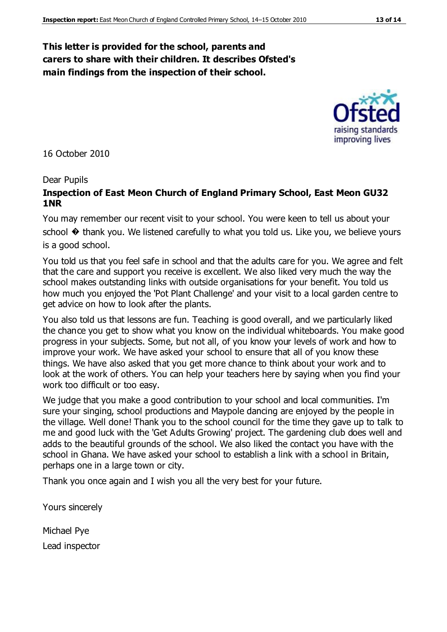#### **This letter is provided for the school, parents and carers to share with their children. It describes Ofsted's main findings from the inspection of their school.**

16 October 2010

#### Dear Pupils

#### **Inspection of East Meon Church of England Primary School, East Meon GU32 1NR**

You may remember our recent visit to your school. You were keen to tell us about your school  $\odot$  thank you. We listened carefully to what you told us. Like you, we believe yours is a good school.

You told us that you feel safe in school and that the adults care for you. We agree and felt that the care and support you receive is excellent. We also liked very much the way the school makes outstanding links with outside organisations for your benefit. You told us how much you enjoyed the 'Pot Plant Challenge' and your visit to a local garden centre to get advice on how to look after the plants.

You also told us that lessons are fun. Teaching is good overall, and we particularly liked the chance you get to show what you know on the individual whiteboards. You make good progress in your subjects. Some, but not all, of you know your levels of work and how to improve your work. We have asked your school to ensure that all of you know these things. We have also asked that you get more chance to think about your work and to look at the work of others. You can help your teachers here by saying when you find your work too difficult or too easy.

We judge that you make a good contribution to your school and local communities. I'm sure your singing, school productions and Maypole dancing are enjoyed by the people in the village. Well done! Thank you to the school council for the time they gave up to talk to me and good luck with the 'Get Adults Growing' project. The gardening club does well and adds to the beautiful grounds of the school. We also liked the contact you have with the school in Ghana. We have asked your school to establish a link with a school in Britain, perhaps one in a large town or city.

Thank you once again and I wish you all the very best for your future.

Yours sincerely

Michael Pye Lead inspector